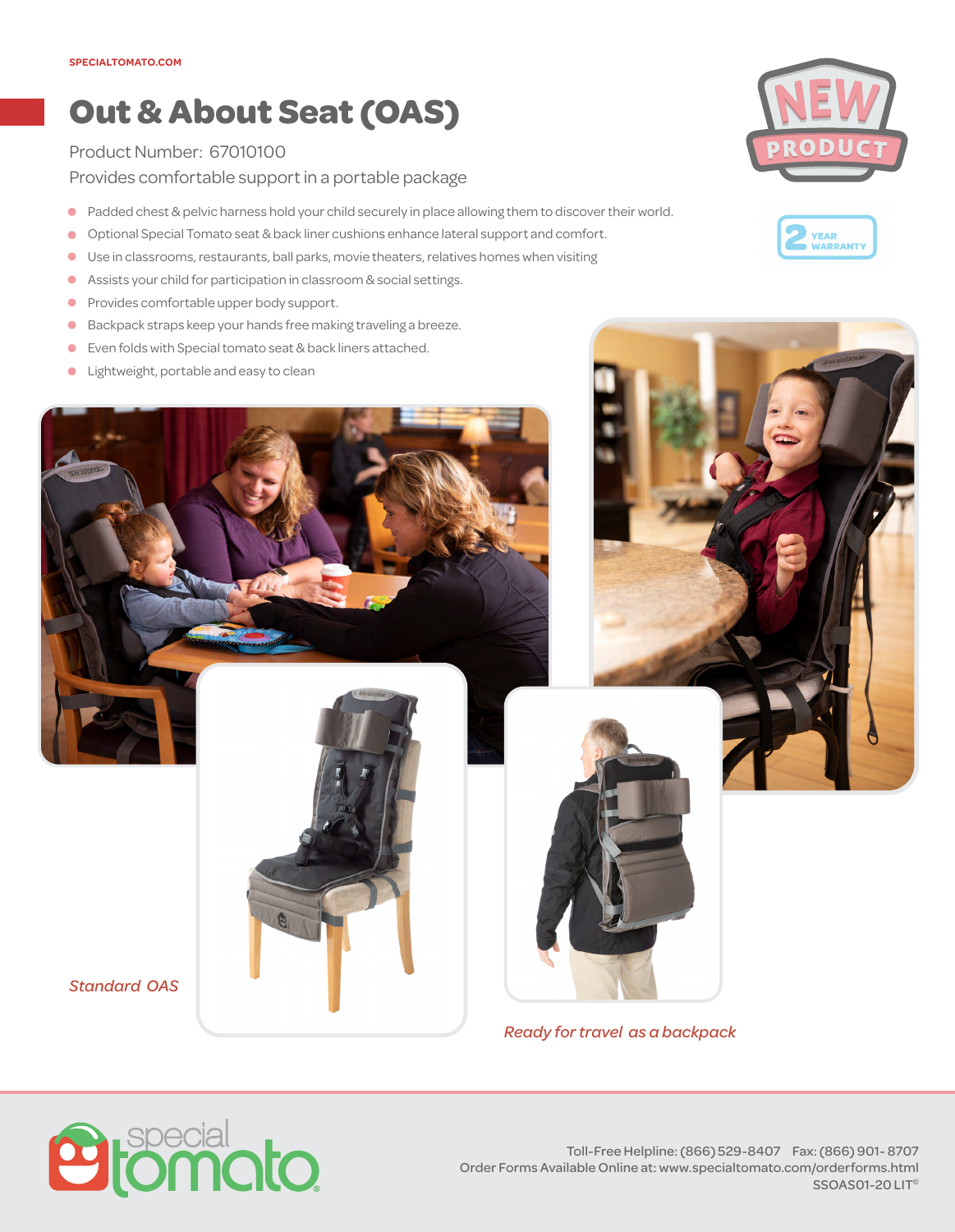## **Out & About Seat (OAS)**

## Product Number: 67010100

Provides comfortable support in a portable package

- $\bullet$ Padded chest & pelvic harness hold your child securely in place allowing them to discover their world.
- $\bullet$ Optional Special Tomato seat & back liner cushions enhance lateral support and comfort.
- $\bullet$ Use in classrooms, restaurants, ball parks, movie theaters, relatives homes when visiting
- Assists your child for participation in classroom & social settings.  $\bullet$
- Provides comfortable upper body support.  $\bullet$
- Backpack straps keep your hands free making traveling a breeze.  $\bullet$
- Even folds with Special tomato seat & back liners attached.  $\bullet$
- Lightweight, portable and easy to clean  $\bullet$





*Ready for travel as a backpack*



*Standard OAS*